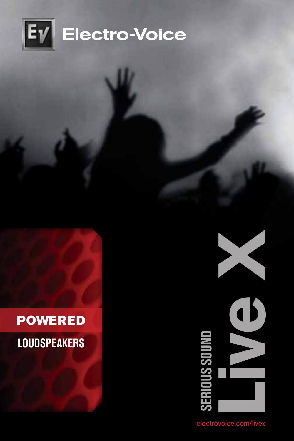

### **POWERED**

### **Loudspeakers**



ctrovoice.com/live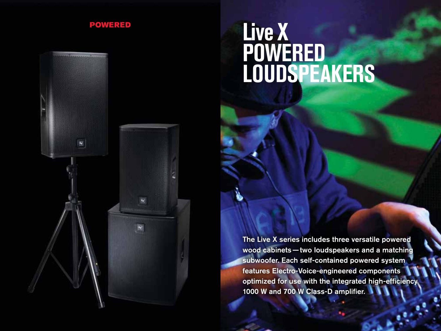

国

# POWERED **Live X Powered Loudspeakers**

The Live X series includes three versatile powered wood cabinets—two loudspeakers and a matching subwoofer. Each self-contained powered system features Electro-Voice-engineered components optimized for use with the integrated high-efficiency 1000 W and 700 W Class-D amplifier.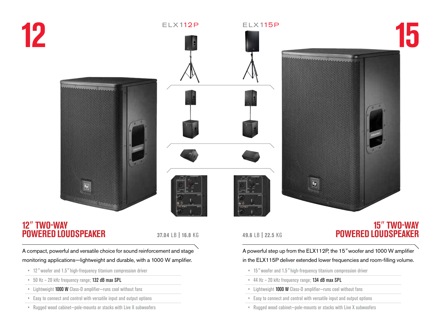





### **12***"* **Two-Way Powered Loudspeaker**

A compact, powerful and versatile choice for sound reinforcement and stage monitoring applications—lightweight and durable, with a 1000 W amplifier.

- • 12*"* woofer and 1.5*"* high-frequency titanium compression driver
- • 50 Hz 20 kHz frequency range; 132 dB max SPL
- • Lightweight 1000 W Class-D amplifier—runs cool without fans
- • Easy to connect and control with versatile input and output options
- • Rugged wood cabinet—pole-mounts or stacks with Live X subwoofers

### **49.6** lb **| 22.5** kg

### **15***"* **Two-Way 37.04 LB | 16.8 KG <b>ASSERVED LOUDSPEAKER POWERED LOUDSPEAKER**

### A powerful step up from the ELX112P, the 15*"* woofer and 1000 W amplifier in the ELX115P deliver extended lower frequencies and room-filling volume.

- • 15*"* woofer and 1.5*"* high-frequency titanium compression driver
- • 44 Hz 20 kHz frequency range; 134 dB max SPL
- • Lightweight 1000 W Class-D amplifier—runs cool without fans
- • Easy to connect and control with versatile input and output options
- • Rugged wood cabinet—pole-mounts or stacks with Live X subwoofers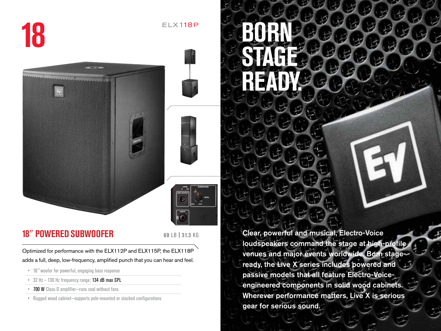**18**



### **18***"* **Powered subwoofer <sup>69</sup>**lb **| 31.3** kg

 $E$ L $\times$ 118 $P$ 

Optimized for performance with the ELX112P and ELX115P, the ELX118P adds a full, deep, low-frequency, amplified punch that you can hear and feel.

- • 18*"* woofer for powerful, engaging bass response
- • 32 Hz 130 Hz frequency range; 134 dB max SPL
- • 700 W Class-D amplifier—runs cool without fans
- • Rugged wood cabinet—supports pole-mounted or stacked configurations

Clear, powerful and musical, Electro-Voice loudspeakers command the stage at high-profile venues and major events worldwide. Born stageready, the Live X series includes powered and passive models that all feature Electro-Voiceengineered components in solid wood cabinets. Wherever performance matters, Live X is serious gear for serious sound.

**Born** 

**Stage** 

**Ready.**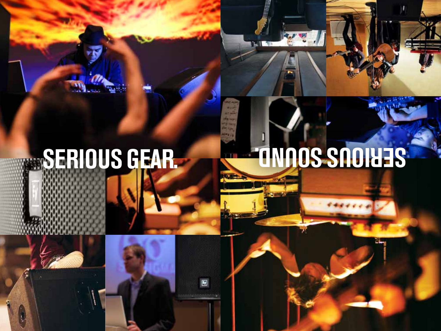# **SERIOUS GEAR. A SERIOUS SERIOUS SERIOUS SERIOUS SERIOUS SERIOUS SERIOUS SERIOUS SERIOUS SERIOUS SERIOUS SERIOUS**

**TAILER** 

 $\blacksquare$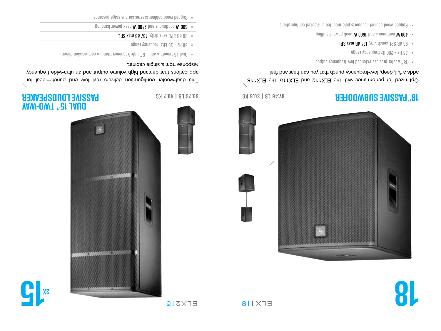









### **u** Two-OML *ng* **1910 a assisted by**  $\alpha$  **<b>b 30.73 TB 1 40.7 AUSISHER IONDEDENCER PASSIVE LOUDSPEAKER**

This dual-woofer configuration delivers real low end punch—ideal for applications that demand high volume output and an ultra-wide frednency response from a single cabinet.

avith noizeangmoo muinstit yone peri<sub>c</sub>hin<sup>n</sup> 3.1 bns zietoow<sup>n</sup> 31 lsud

 $\bullet$  38 Hz – 20 kHz frequency range

89.73 LB | 40.7 KG

- **J98 xsm 8b 161** sensitivity; **J97 sem 8b**
- $\bullet$  000  $\blacksquare$  oonling power page of  $\blacksquare$  and  $\blacksquare$

 $\blacksquare$  Pugged wood cabinet creates serious chapt presence



### **18" PASSIVE SUBWOOFER**

### Optimized for performance with the ELX112 and ELX115, the ELX118 adds a full, deep, low-frequency punch that you can hear and feel.

- output butputes extended low-freduency volumes  $\mu$
- $\bullet$  35 Hz 200 Hz frequency range
- **J92 xem ab 46t** ; yiivitiznes J98 ab 68 ·
- $\mu$  ouilbrand peak W 1600 bases peak and continuous W 004  $\mu$
- n Rugged wood cabinet-staqurations and assume the pole standard provider as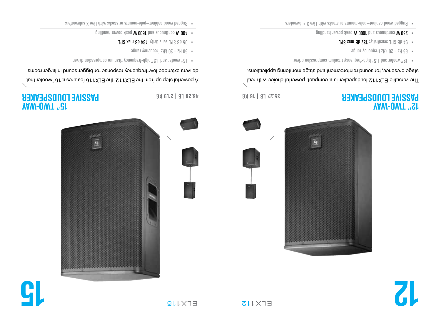







kg **21.9 |** lb **48.28** 

### **AW-OWT** <sup>"</sup><sub>CI</sub> **assive Loudspeaker P** kg **16 |** lb **35.27**

A powerful step up from the ELX112 ent <sub>2</sub>the ELX112 features a 15<sup>"</sup>woofer that

delivers extended low-frequency response for bigger sound in larger rooms.

- avinb noissenqmoo muinstit yoneupent-dgid <sup>n</sup> & l bns 19toow <sup>n</sup> d l
- $\bullet$  50 Hz 20 KHz trequency range
- J92 xsm 8b 46t; ytivitiznes J92 8b 3e
- $\bullet$  400  $\mathsf{W}$  continuous and 1600  $\mathsf{W}$  beak weak and continuous W  $\mathsf{W}$
- n Rugged wood capinet-pole-mounts or stacks with Live X eventors



### **ay WD-001 ASSIVE LOUDSPEAKER**

The versatile ELX112 loudspeaker is a compact, powerful choice with real stage presence, for sound reinforcement and stage monitoring applications.

- avith noissangmoo muinstit yonenpart-dgid<sup>n</sup>d. I bns tetoow<sup>n</sup> St
- $\bullet$  50 Hz 20 KHz trequency range
- **J92 xsm ab SET** ; ytivitiznes J92 ab 48 •
- $\bullet$  **Dangling power proper peak beam** peak of peak of  $\bullet$
- . Rugged wood capinet-pole-mounts or stacks with Live X eventually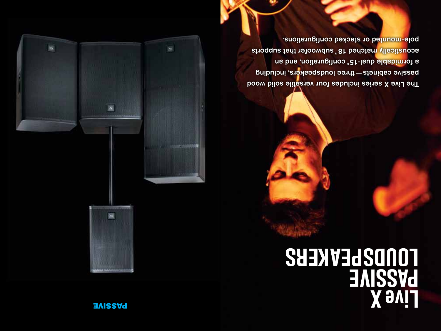### **BASSIVE**





The Live X series includes four versatile solid wood three capinets — three loudspeakers, including a formidable dual-15<sup>n</sup> configuration, and an acoustically matched 18<sup>n</sup> subwoofer that supports pole-mounted or stacked configurations.